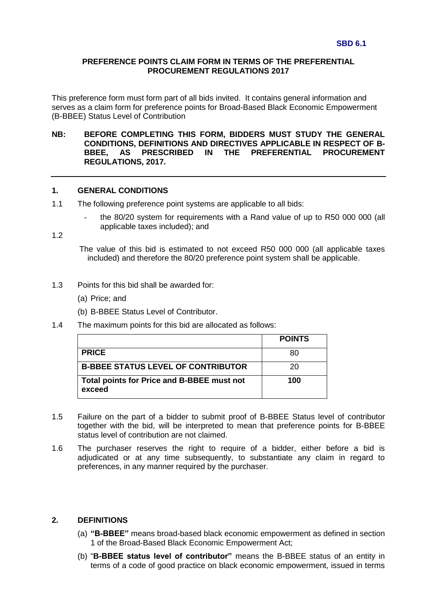### **PREFERENCE POINTS CLAIM FORM IN TERMS OF THE PREFERENTIAL PROCUREMENT REGULATIONS 2017**

This preference form must form part of all bids invited. It contains general information and serves as a claim form for preference points for Broad-Based Black Economic Empowerment (B-BBEE) Status Level of Contribution

### **NB: BEFORE COMPLETING THIS FORM, BIDDERS MUST STUDY THE GENERAL CONDITIONS, DEFINITIONS AND DIRECTIVES APPLICABLE IN RESPECT OF B-BBEE, AS PRESCRIBED IN THE PREFERENTIAL PROCUREMENT REGULATIONS, 2017.**

#### **1. GENERAL CONDITIONS**

- 1.1 The following preference point systems are applicable to all bids:
	- the 80/20 system for requirements with a Rand value of up to R50 000 000 (all applicable taxes included); and

1.2

The value of this bid is estimated to not exceed R50 000 000 (all applicable taxes included) and therefore the 80/20 preference point system shall be applicable.

- 1.3 Points for this bid shall be awarded for:
	- (a) Price; and
	- (b) B-BBEE Status Level of Contributor.
- 1.4 The maximum points for this bid are allocated as follows:

|                                                      | <b>POINTS</b> |
|------------------------------------------------------|---------------|
| <b>PRICE</b>                                         | 80            |
| <b>B-BBEE STATUS LEVEL OF CONTRIBUTOR</b>            | 20            |
| Total points for Price and B-BBEE must not<br>exceed | 100           |

- 1.5 Failure on the part of a bidder to submit proof of B-BBEE Status level of contributor together with the bid, will be interpreted to mean that preference points for B-BBEE status level of contribution are not claimed.
- 1.6 The purchaser reserves the right to require of a bidder, either before a bid is adjudicated or at any time subsequently, to substantiate any claim in regard to preferences, in any manner required by the purchaser.

### **2. DEFINITIONS**

- (a) **"B-BBEE"** means broad-based black economic empowerment as defined in section 1 of the Broad-Based Black Economic Empowerment Act;
- (b) "**B-BBEE status level of contributor"** means the B-BBEE status of an entity in terms of a code of good practice on black economic empowerment, issued in terms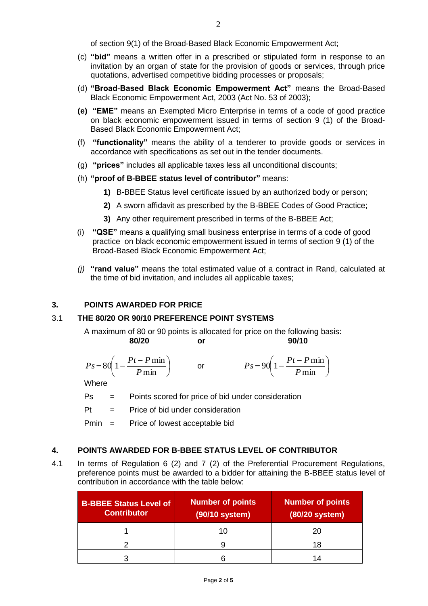of section 9(1) of the Broad-Based Black Economic Empowerment Act;

- (c) **"bid"** means a written offer in a prescribed or stipulated form in response to an invitation by an organ of state for the provision of goods or services, through price quotations, advertised competitive bidding processes or proposals;
- (d) **"Broad-Based Black Economic Empowerment Act"** means the Broad-Based Black Economic Empowerment Act, 2003 (Act No. 53 of 2003);
- **(e) "EME"** means an Exempted Micro Enterprise in terms of a code of good practice on black economic empowerment issued in terms of section 9 (1) of the Broad-Based Black Economic Empowerment Act;
- (f) **"functionality"** means the ability of a tenderer to provide goods or services in accordance with specifications as set out in the tender documents.
- (g) **"prices"** includes all applicable taxes less all unconditional discounts;
- (h) **"proof of B-BBEE status level of contributor"** means:
	- **1)** B-BBEE Status level certificate issued by an authorized body or person;
	- **2)** A sworn affidavit as prescribed by the B-BBEE Codes of Good Practice;
	- **3)** Any other requirement prescribed in terms of the B-BBEE Act;
- (i) **"QSE"** means a qualifying small business enterprise in terms of a code of good practice on black economic empowerment issued in terms of section 9 (1) of the Broad-Based Black Economic Empowerment Act;
- *(j)* **"rand value"** means the total estimated value of a contract in Rand, calculated at the time of bid invitation, and includes all applicable taxes;

# **3. POINTS AWARDED FOR PRICE**

# 3.1 **THE 80/20 OR 90/10 PREFERENCE POINT SYSTEMS**

A maximum of 80 or 90 points is allocated for price on the following basis: **80/20 or 90/10**

$$
Ps = 80\left(1 - \frac{Pt - P\min P\min}\right) \qquad \text{or} \qquad \qquad Ps = 90\left(1 - \frac{Pt - P\min P\min}\right)
$$

**Where** 

Ps = Points scored for price of bid under consideration

 $Pt =$  Price of bid under consideration

Pmin = Price of lowest acceptable bid

# **4. POINTS AWARDED FOR B-BBEE STATUS LEVEL OF CONTRIBUTOR**

4.1 In terms of Regulation 6 (2) and 7 (2) of the Preferential Procurement Regulations, preference points must be awarded to a bidder for attaining the B-BBEE status level of contribution in accordance with the table below:

| <b>B-BBEE Status Level of</b><br><b>Contributor</b> | <b>Number of points</b><br>(90/10 system) | <b>Number of points</b><br>(80/20 system) |
|-----------------------------------------------------|-------------------------------------------|-------------------------------------------|
|                                                     | 10                                        | 20                                        |
|                                                     |                                           | 18                                        |
|                                                     |                                           | 1⊿                                        |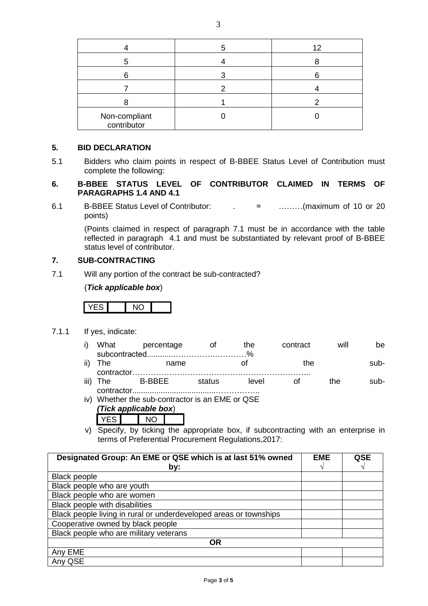| Non-compliant<br>contributor |  |
|------------------------------|--|

## **5. BID DECLARATION**

5.1 Bidders who claim points in respect of B-BBEE Status Level of Contribution must complete the following:

## **6. B-BBEE STATUS LEVEL OF CONTRIBUTOR CLAIMED IN TERMS OF PARAGRAPHS 1.4 AND 4.1**

6.1 B-BBEE Status Level of Contributor: . = ………(maximum of 10 or 20 points)

(Points claimed in respect of paragraph 7.1 must be in accordance with the table reflected in paragraph 4.1 and must be substantiated by relevant proof of B-BBEE status level of contributor.

## **7. SUB-CONTRACTING**

7.1 Will any portion of the contract be sub-contracted?

(*Tick applicable box*)



7.1.1 If yes, indicate:

|            | i) What percentage | ∩t | the. | contract | will | be.  |
|------------|--------------------|----|------|----------|------|------|
|            |                    |    |      |          |      |      |
| ii) The    | name               |    |      | the      |      | sub- |
| contractor |                    |    |      |          |      |      |

iii) The B-BBEE status level of the subcontractor......................................……………..

- iv) Whether the sub-contractor is an EME or QSE *(Tick applicable box*)
	- YES NO
- v) Specify, by ticking the appropriate box, if subcontracting with an enterprise in terms of Preferential Procurement Regulations,2017:

| Designated Group: An EME or QSE which is at last 51% owned        | <b>EME</b> | QSE |
|-------------------------------------------------------------------|------------|-----|
| by:                                                               |            |     |
| <b>Black people</b>                                               |            |     |
| Black people who are youth                                        |            |     |
| Black people who are women                                        |            |     |
| Black people with disabilities                                    |            |     |
| Black people living in rural or underdeveloped areas or townships |            |     |
| Cooperative owned by black people                                 |            |     |
| Black people who are military veterans                            |            |     |
| <b>OR</b>                                                         |            |     |
| Any EME                                                           |            |     |
| Any QSE                                                           |            |     |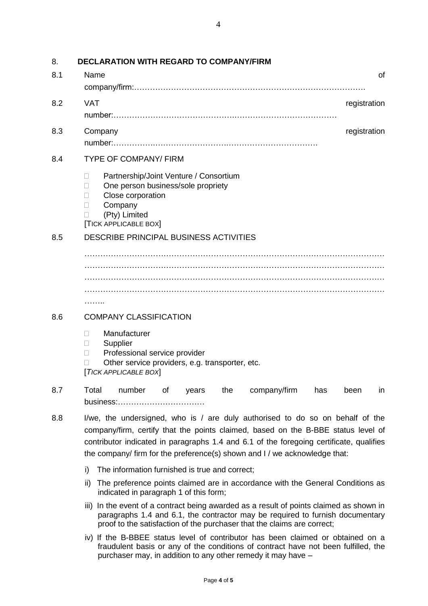| 8.  | <b>DECLARATION WITH REGARD TO COMPANY/FIRM</b>                                                                                                                                                                                                                                                                                              |
|-----|---------------------------------------------------------------------------------------------------------------------------------------------------------------------------------------------------------------------------------------------------------------------------------------------------------------------------------------------|
| 8.1 | Name<br>οf                                                                                                                                                                                                                                                                                                                                  |
|     |                                                                                                                                                                                                                                                                                                                                             |
| 8.2 | <b>VAT</b><br>registration                                                                                                                                                                                                                                                                                                                  |
|     |                                                                                                                                                                                                                                                                                                                                             |
| 8.3 | registration<br>Company                                                                                                                                                                                                                                                                                                                     |
|     |                                                                                                                                                                                                                                                                                                                                             |
| 8.4 | <b>TYPE OF COMPANY/ FIRM</b>                                                                                                                                                                                                                                                                                                                |
|     | Partnership/Joint Venture / Consortium<br>П<br>One person business/sole propriety<br>$\mathbf{L}$<br>Close corporation<br>П<br>Company<br>$\Box$<br>(Pty) Limited<br>П<br><b>TICK APPLICABLE BOX</b>                                                                                                                                        |
| 8.5 | DESCRIBE PRINCIPAL BUSINESS ACTIVITIES                                                                                                                                                                                                                                                                                                      |
|     |                                                                                                                                                                                                                                                                                                                                             |
|     | .                                                                                                                                                                                                                                                                                                                                           |
| 8.6 | <b>COMPANY CLASSIFICATION</b>                                                                                                                                                                                                                                                                                                               |
|     | Manufacturer<br>$\Box$<br>Supplier<br>$\Box$<br>Professional service provider<br>П<br>Other service providers, e.g. transporter, etc.<br>[TICK APPLICABLE BOX]                                                                                                                                                                              |
| 8.7 | Total<br>number<br>of<br>the<br>company/firm<br>years<br>has<br>been<br>in<br>business:                                                                                                                                                                                                                                                     |
| 8.8 | I/we, the undersigned, who is / are duly authorised to do so on behalf of the<br>company/firm, certify that the points claimed, based on the B-BBE status level of<br>contributor indicated in paragraphs 1.4 and 6.1 of the foregoing certificate, qualifies<br>the company/ firm for the preference(s) shown and I / we acknowledge that: |
|     | i)<br>The information furnished is true and correct;                                                                                                                                                                                                                                                                                        |
|     | The preference points claimed are in accordance with the General Conditions as<br>ii)<br>indicated in paragraph 1 of this form;                                                                                                                                                                                                             |
|     | In the event of a contract being awarded as a result of points claimed as shown in<br>iii)<br>paragraphs 1.4 and 6.1, the contractor may be required to furnish documentary<br>proof to the satisfaction of the purchaser that the claims are correct;                                                                                      |

iv) If the B-BBEE status level of contributor has been claimed or obtained on a fraudulent basis or any of the conditions of contract have not been fulfilled, the purchaser may, in addition to any other remedy it may have –